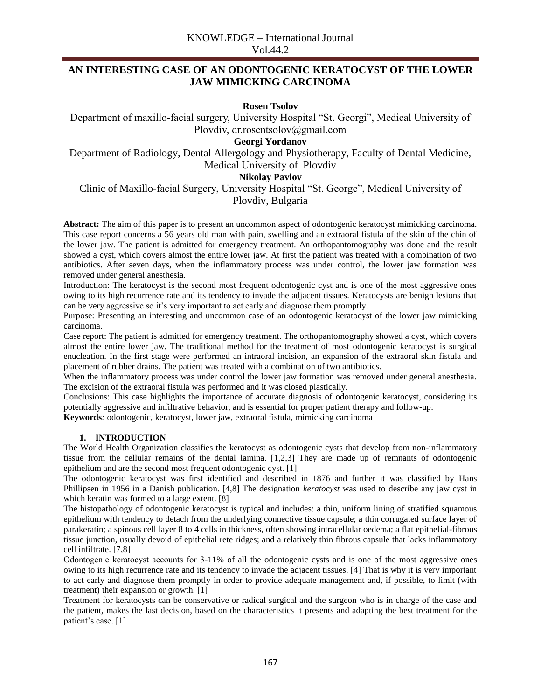# **AN INTERESTING CASE OF AN ODONTOGENIC KERATOCYST OF THE LOWER JAW MIMICKING CARCINOMA**

**Rosen Tsolov**

Department of maxillo-facial surgery, University Hospital "St. Georgi", Medical University of Plovdiv, dr.rosentsolov@gmail.com

**Georgi Yordanov**

Department of Radiology, Dental Allergology and Physiotherapy, Faculty of Dental Medicine, Medical University of Plovdiv

## **Nikolay Pavlov**

# Clinic of Maxillo-facial Surgery, University Hospital "St. George", Medical University of Plovdiv, Bulgaria

**Abstract:** The aim of this paper is to present an uncommon aspect of odontogenic keratocyst mimicking carcinoma. This case report concerns a 56 years old man with pain, swelling and an extraoral fistula of the skin of the chin of the lower jaw. The patient is admitted for emergency treatment. An orthopantomography was done and the result showed a cyst, which covers almost the entire lower jaw. At first the patient was treated with a combination of two antibiotics. After seven days, when the inflammatory process was under control, the lower jaw formation was removed under general anesthesia.

Introduction: The keratocyst is the second most frequent odontogenic cyst and is one of the most aggressive ones owing to its high recurrence rate and its tendency to invade the adjacent tissues. Keratocysts are benign lesions that can be very aggressive so it's very important to act early and diagnose them promptly.

Purpose: Presenting an interesting and uncommon case of an odontogenic keratocyst of the lower jaw mimicking carcinoma.

Case report: The patient is admitted for emergency treatment. The orthopantomography showed a cyst, which covers almost the entire lower jaw. The traditional method for the treatment of most odontogenic keratocyst is surgical enucleation. In the first stage were performed an intraoral incision, an expansion of the extraoral skin fistula and placement of rubber drains. The patient was treated with a combination of two antibiotics.

When the inflammatory process was under control the lower jaw formation was removed under general anesthesia. The excision of the extraoral fistula was performed and it was closed plastically.

Conclusions: This case highlights the importance of accurate diagnosis of odontogenic keratocyst, considering its potentially aggressive and infiltrative behavior, and is essential for proper patient therapy and follow-up.

**Keywords***:* odontogenic, keratocyst, lower jaw, extraoral fistula, mimicking carcinoma

## **1. INTRODUCTION**

The World Health Organization classifies the keratocyst as odontogenic cysts that develop from non-inflammatory tissue from the cellular remains of the dental lamina. [1,2,3] They are made up of remnants of odontogenic epithelium and are the second most frequent odontogenic cyst. [1]

The odontogenic keratocyst was first identified and described in 1876 and further it was classified by Hans Phillipsen in 1956 in a Danish publication. [4,8] The designation *keratocyst* was used to describe any jaw cyst in which keratin was formed to a large extent. [8]

The histopathology of odontogenic keratocyst is typical and includes: a thin, uniform lining of stratified squamous epithelium with tendency to detach from the underlying connective tissue capsule; a thin corrugated surface layer of parakeratin; a spinous cell layer 8 to 4 cells in thickness, often showing intracellular oedema; a flat epithelial-fibrous tissue junction, usually devoid of epithelial rete ridges; and a relatively thin fibrous capsule that lacks inflammatory cell infiltrate. [7,8]

Оdontogenic keratocyst accounts for 3-11% of all the odontogenic cysts and is one of the most aggressive ones owing to its high recurrence rate and its tendency to invade the adjacent tissues. [4] That is why it is very important to act early and diagnose them promptly in order to provide adequate management and, if possible, to limit (with treatment) their expansion or growth. [1]

Treatment for keratocysts can be conservative or radical surgical and the surgeon who is in charge of the case and the patient, makes the last decision, based on the characteristics it presents and adapting the best treatment for the patient's case. [1]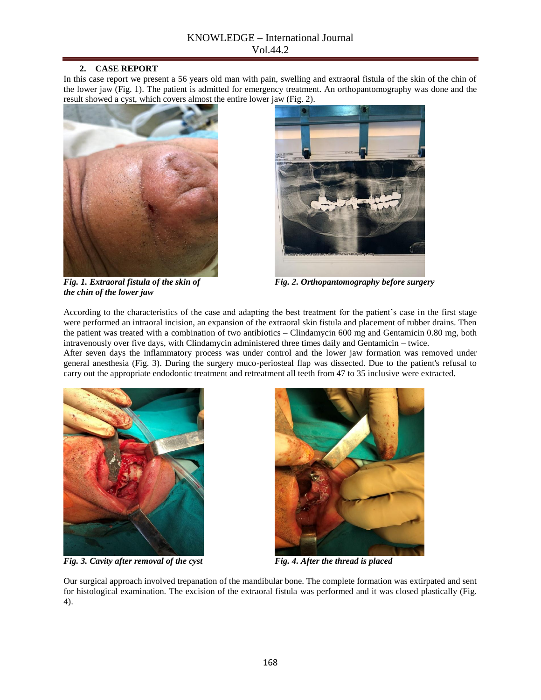## **2. CASE REPORT**

In this case report we present a 56 years old man with pain, swelling and extraoral fistula of the skin of the chin of the lower jaw (Fig. 1). The patient is admitted for emergency treatment. An orthopantomography was done and the result showed a cyst, which covers almost the entire lower jaw (Fig. 2).





*Fig. 1. Extraoral fistula of the skin of* Fig. 2. *Orthopantomography before surgery* 

*the chin of the lower jaw*

According to the characteristics of the case and adapting the best treatment for the patient's case in the first stage were performed an intraoral incision, an expansion of the extraoral skin fistula and placement of rubber drains. Then the patient was treated with a combination of two antibiotics – Clindamycin 600 mg and Gentamicin 0.80 mg, both intravenously over five days, with Clindamycin administered three times daily and Gentamicin – twice.

After seven days the inflammatory process was under control and the lower jaw formation was removed under general anesthesia (Fig. 3). During the surgery muco-periosteal flap was dissected. Due to the patient's refusal to carry out the appropriate endodontic treatment and retreatment all teeth from 47 to 35 inclusive were extracted.



*Fig. 3. Cavity after removal of the cyst* Fig. 4. *After the thread is placed* 



Our surgical approach involved trepanation of the mandibular bone. The complete formation was extirpated and sent for histological examination. The excision of the extraoral fistula was performed and it was closed plastically (Fig. 4).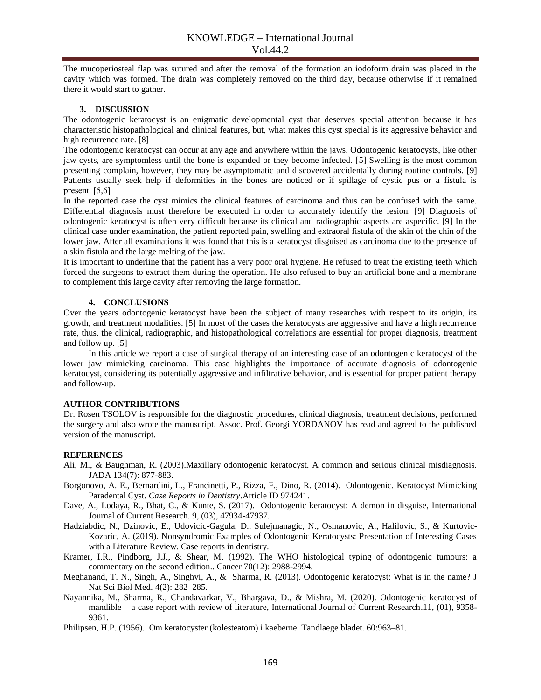The mucoperiosteal flap was sutured and after the removal of the formation an iodoform drain was placed in the cavity which was formed. The drain was completely removed on the third day, because otherwise if it remained there it would start to gather.

### **3. DISCUSSION**

The odontogenic keratocyst is an enigmatic developmental cyst that deserves special attention because it has characteristic histopathological and clinical features, but, what makes this cyst special is its aggressive behavior and high recurrence rate. [8]

The odontogenic keratocyst can occur at any age and anywhere within the jaws. Odontogenic keratocysts, like other jaw cysts, are symptomless until the bone is expanded or they become infected. [5] Swelling is the most common presenting complain, however, they may be asymptomatic and discovered accidentally during routine controls. [9] Patients usually seek help if deformities in the bones are noticed or if spillage of cystic pus or a fistula is prеsеnt. [5,6]

In the reported case the cyst mimics the clinical features of carcinoma and thus can be confused with the same. Differential diagnosis must therefore be executed in order to accurately identify the lesion. [9] Diagnosis of odontogenic keratocyst is often very difficult because its clinical and radiographic aspects are aspecific. [9] In the clinical case under examination, the patient reported pain, swelling and extraoral fistula of the skin of the chin of the lower jaw. After all examinations it was found that this is a keratocyst disguised as carcinoma due to the presence of a skin fistula and the large melting of the jaw.

It is important to underline that the patient has a very poor oral hygiene. He refused to treat the existing teeth which forced the surgeons to extract them during the operation. He also refused to buy an artificial bone and a membrane to complement this large cavity after removing the large formation.

#### **4. CONCLUSIONS**

Over the years odontogenic keratocyst have been the subject of many researches with respect to its origin, its growth, and treatment modalities. [5] In most of the cases the keratocysts are aggressive and have a high recurrence rate, thus, the clinical, radiographic, and histopathological correlations are essential for proper diagnosis, treatment and follow up. [5]

In this article we report a case of surgical therapy of an interesting case of an odontogenic keratocyst of the lower jaw mimicking carcinoma. This case highlights the importance of accurate diagnosis of odontogenic keratocyst, considering its potentially aggressive and infiltrative behavior, and is essential for proper patient therapy and follow-up.

### **AUTHOR CONTRIBUTIONS**

Dr. Rosen TSOLOV is responsible for the diagnostic procedures, clinical diagnosis, treatment decisions, performed the surgery and also wrote the manuscript. Assoc. Prof. Georgi YORDANOV has read and agreed to the published version of the manuscript.

#### **REFERENCES**

- Ali, M., & Baughman, R. (2003).Maxillary odontogenic keratocyst. A common and serious clinical misdiagnosis. JADA 134(7): 877-883.
- Borgonovo, A. E., Bernardini, L., Francinetti, P., Rizza, F., Dino, R. (2014). Odontogenic. Keratocyst Mimicking Paradental Cyst. *Case Reports in Dentistry*.Article ID 974241.
- Dave, A., Lodaya, R., Bhat, C., & Kunte, S. (2017). Odontogenic keratocyst: A demon in disguise, International Journal of Current Research. 9, (03), 47934-47937.
- Hadziabdic, N., Dzinovic, E., Udovicic-Gagula, D., Sulejmanagic, N., Osmanovic, A., Halilovic, S., & Kurtovic-Kozaric, A. (2019). Nonsyndromic Examples of Odontogenic Keratocysts: Presentation of Interesting Cases with a Literature Review. Case reports in dentistry.
- Kramer, I.R., Pindborg, J.J., & Shear, M. (1992). The WHO histological typing of odontogenic tumours: a commentary on the second edition.. Cancer 70(12): 2988-2994.
- [Meghanand,](https://www.ncbi.nlm.nih.gov/pubmed/?term=Nayak%20MT%5BAuthor%5D&cauthor=true&cauthor_uid=24082717) T. N., [Singh,](https://www.ncbi.nlm.nih.gov/pubmed/?term=Singh%20A%5BAuthor%5D&cauthor=true&cauthor_uid=24082717) A., [Singhvi,](https://www.ncbi.nlm.nih.gov/pubmed/?term=Singhvi%20A%5BAuthor%5D&cauthor=true&cauthor_uid=24082717) A., & [Sharma,](https://www.ncbi.nlm.nih.gov/pubmed/?term=Sharma%20R%5BAuthor%5D&cauthor=true&cauthor_uid=24082717) R. (2013). Odontogenic keratocyst: What is in the name? [J](https://www.ncbi.nlm.nih.gov/pmc/articles/PMC3783765/)  [Nat Sci Biol Med.](https://www.ncbi.nlm.nih.gov/pmc/articles/PMC3783765/) 4(2): 282–285.
- Nayannika, M., Sharma, R., Chandavarkar, V., Bhargava, D., & Mishra, M. (2020). Odontogenic keratocyst of mandible – a case report with review of literature, International Journal of Current Research.11, (01), 9358- 9361.
- Philipsen, H.P. (1956). Om keratocyster (kolesteatom) i kaeberne. Tandlaege bladet. 60:963–81.